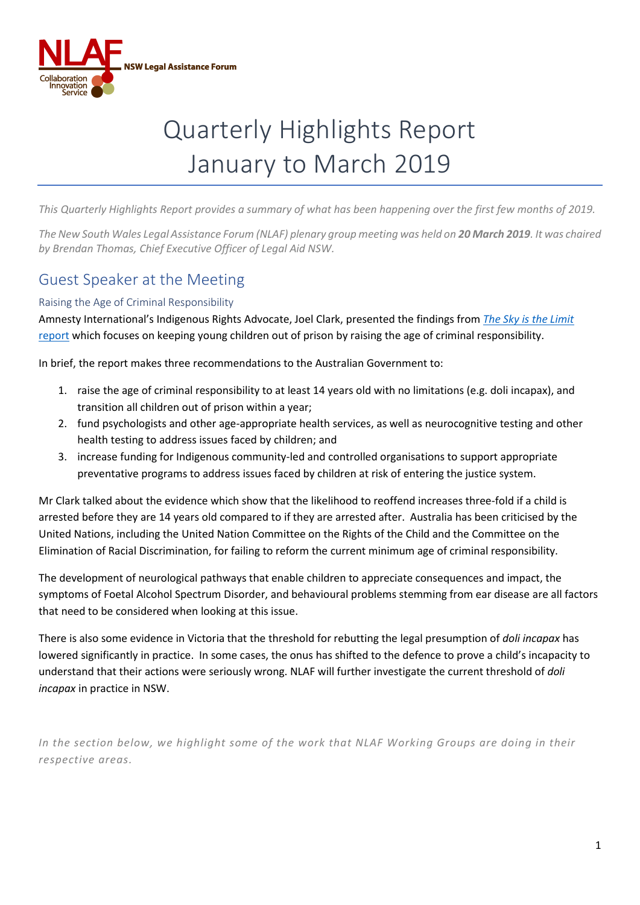

# Quarterly Highlights Report January to March 2019

*This Quarterly Highlights Report provides a summary of what has been happening over the first few months of 2019.*

*The New South Wales Legal Assistance Forum (NLAF) plenary group meeting was held on 20 March 2019. It was chaired by Brendan Thomas, Chief Executive Officer of Legal Aid NSW.* 

## Guest Speaker at the Meeting

#### Raising the Age of Criminal Responsibility

Amnesty International's Indigenous Rights Advocate, Joel Clark, presented the findings from *[The Sky is the Limit](https://www.amnesty.org.au/wp-content/uploads/2018/09/The-Sky-is-the-Limit-FINAL-1.pdf)* [report](https://www.amnesty.org.au/wp-content/uploads/2018/09/The-Sky-is-the-Limit-FINAL-1.pdf) which focuses on keeping young children out of prison by raising the age of criminal responsibility.

In brief, the report makes three recommendations to the Australian Government to:

- 1. raise the age of criminal responsibility to at least 14 years old with no limitations (e.g. doli incapax), and transition all children out of prison within a year;
- 2. fund psychologists and other age-appropriate health services, as well as neurocognitive testing and other health testing to address issues faced by children; and
- 3. increase funding for Indigenous community-led and controlled organisations to support appropriate preventative programs to address issues faced by children at risk of entering the justice system.

Mr Clark talked about the evidence which show that the likelihood to reoffend increases three-fold if a child is arrested before they are 14 years old compared to if they are arrested after. Australia has been criticised by the United Nations, including the United Nation Committee on the Rights of the Child and the Committee on the Elimination of Racial Discrimination, for failing to reform the current minimum age of criminal responsibility.

The development of neurological pathways that enable children to appreciate consequences and impact, the symptoms of Foetal Alcohol Spectrum Disorder, and behavioural problems stemming from ear disease are all factors that need to be considered when looking at this issue.

There is also some evidence in Victoria that the threshold for rebutting the legal presumption of *doli incapax* has lowered significantly in practice. In some cases, the onus has shifted to the defence to prove a child's incapacity to understand that their actions were seriously wrong. NLAF will further investigate the current threshold of *doli incapax* in practice in NSW.

*In the section below, we highlight some of the work that NLAF Working Groups are doing in their respective areas.*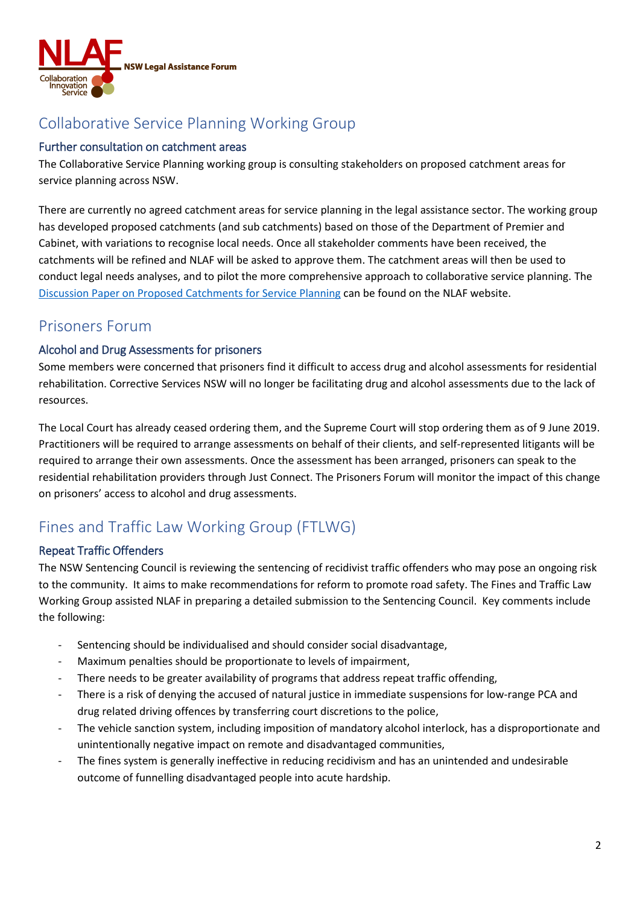

# Collaborative Service Planning Working Group

#### Further consultation on catchment areas

The Collaborative Service Planning working group is consulting stakeholders on proposed catchment areas for service planning across NSW.

There are currently no agreed catchment areas for service planning in the legal assistance sector. The working group has developed proposed catchments (and sub catchments) based on those of the Department of Premier and Cabinet, with variations to recognise local needs. Once all stakeholder comments have been received, the catchments will be refined and NLAF will be asked to approve them. The catchment areas will then be used to conduct legal needs analyses, and to pilot the more comprehensive approach to collaborative service planning. The [Discussion Paper on Proposed Catchments for Service Planning](http://www.nlaf.org.au/cb_pages/files/NLAF%20Working%20Group%20on%20Collaborative%20Service%20Planning%20-%20Feedback%20on%20Discussion%20Paper%20(April%202019).pdf) can be found on the NLAF website.

### Prisoners Forum

#### Alcohol and Drug Assessments for prisoners

Some members were concerned that prisoners find it difficult to access drug and alcohol assessments for residential rehabilitation. Corrective Services NSW will no longer be facilitating drug and alcohol assessments due to the lack of resources.

The Local Court has already ceased ordering them, and the Supreme Court will stop ordering them as of 9 June 2019. Practitioners will be required to arrange assessments on behalf of their clients, and self-represented litigants will be required to arrange their own assessments. Once the assessment has been arranged, prisoners can speak to the residential rehabilitation providers through Just Connect. The Prisoners Forum will monitor the impact of this change on prisoners' access to alcohol and drug assessments.

# Fines and Traffic Law Working Group (FTLWG)

#### Repeat Traffic Offenders

The NSW Sentencing Council is reviewing the sentencing of recidivist traffic offenders who may pose an ongoing risk to the community. It aims to make recommendations for reform to promote road safety. The Fines and Traffic Law Working Group assisted NLAF in preparing a detailed submission to the Sentencing Council. Key comments include the following:

- Sentencing should be individualised and should consider social disadvantage,
- Maximum penalties should be proportionate to levels of impairment,
- There needs to be greater availability of programs that address repeat traffic offending,
- There is a risk of denying the accused of natural justice in immediate suspensions for low-range PCA and drug related driving offences by transferring court discretions to the police,
- The vehicle sanction system, including imposition of mandatory alcohol interlock, has a disproportionate and unintentionally negative impact on remote and disadvantaged communities,
- The fines system is generally ineffective in reducing recidivism and has an unintended and undesirable outcome of funnelling disadvantaged people into acute hardship.